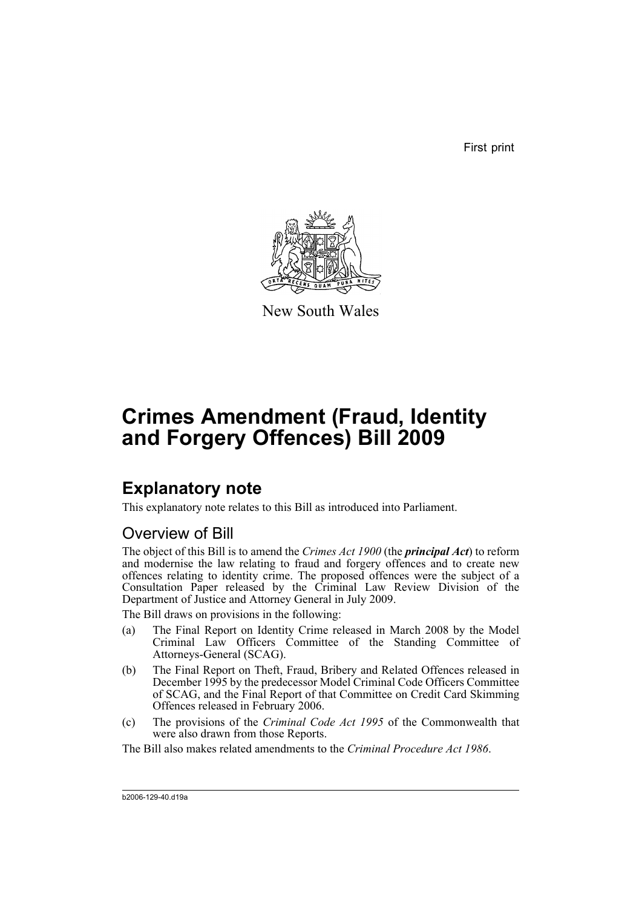First print



New South Wales

# **Crimes Amendment (Fraud, Identity and Forgery Offences) Bill 2009**

## **Explanatory note**

This explanatory note relates to this Bill as introduced into Parliament.

## Overview of Bill

The object of this Bill is to amend the *Crimes Act 1900* (the *principal Act*) to reform and modernise the law relating to fraud and forgery offences and to create new offences relating to identity crime. The proposed offences were the subject of a Consultation Paper released by the Criminal Law Review Division of the Department of Justice and Attorney General in July 2009.

The Bill draws on provisions in the following:

- (a) The Final Report on Identity Crime released in March 2008 by the Model Criminal Law Officers Committee of the Standing Committee of Attorneys-General (SCAG).
- (b) The Final Report on Theft, Fraud, Bribery and Related Offences released in December 1995 by the predecessor Model Criminal Code Officers Committee of SCAG, and the Final Report of that Committee on Credit Card Skimming Offences released in February 2006.
- (c) The provisions of the *Criminal Code Act 1995* of the Commonwealth that were also drawn from those Reports.
- The Bill also makes related amendments to the *Criminal Procedure Act 1986*.

b2006-129-40.d19a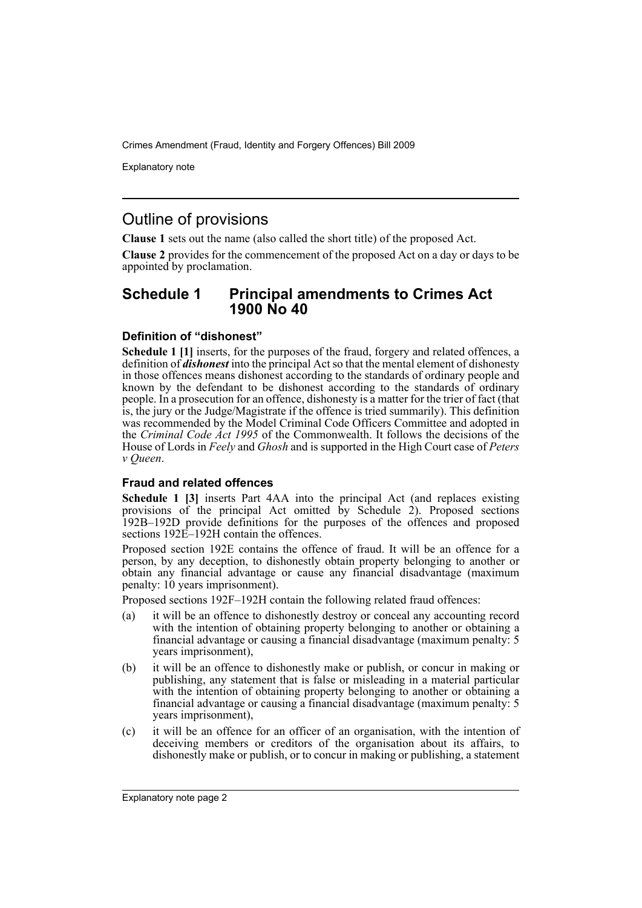Explanatory note

## Outline of provisions

**Clause 1** sets out the name (also called the short title) of the proposed Act.

**Clause 2** provides for the commencement of the proposed Act on a day or days to be appointed by proclamation.

### **Schedule 1 Principal amendments to Crimes Act 1900 No 40**

#### **Definition of "dishonest"**

**Schedule 1 [1]** inserts, for the purposes of the fraud, forgery and related offences, a definition of *dishonest* into the principal Act so that the mental element of dishonesty in those offences means dishonest according to the standards of ordinary people and known by the defendant to be dishonest according to the standards of ordinary people. In a prosecution for an offence, dishonesty is a matter for the trier of fact (that is, the jury or the Judge/Magistrate if the offence is tried summarily). This definition was recommended by the Model Criminal Code Officers Committee and adopted in the *Criminal Code Act 1995* of the Commonwealth. It follows the decisions of the House of Lords in *Feely* and *Ghosh* and is supported in the High Court case of *Peters v Queen*.

#### **Fraud and related offences**

**Schedule 1 [3]** inserts Part 4AA into the principal Act (and replaces existing provisions of the principal Act omitted by Schedule 2). Proposed sections 192B–192D provide definitions for the purposes of the offences and proposed sections 192E-192H contain the offences.

Proposed section 192E contains the offence of fraud. It will be an offence for a person, by any deception, to dishonestly obtain property belonging to another or obtain any financial advantage or cause any financial disadvantage (maximum penalty: 10 years imprisonment).

Proposed sections 192F–192H contain the following related fraud offences:

- (a) it will be an offence to dishonestly destroy or conceal any accounting record with the intention of obtaining property belonging to another or obtaining a financial advantage or causing a financial disadvantage (maximum penalty: 5 years imprisonment),
- (b) it will be an offence to dishonestly make or publish, or concur in making or publishing, any statement that is false or misleading in a material particular with the intention of obtaining property belonging to another or obtaining a financial advantage or causing a financial disadvantage (maximum penalty: 5 years imprisonment),
- (c) it will be an offence for an officer of an organisation, with the intention of deceiving members or creditors of the organisation about its affairs, to dishonestly make or publish, or to concur in making or publishing, a statement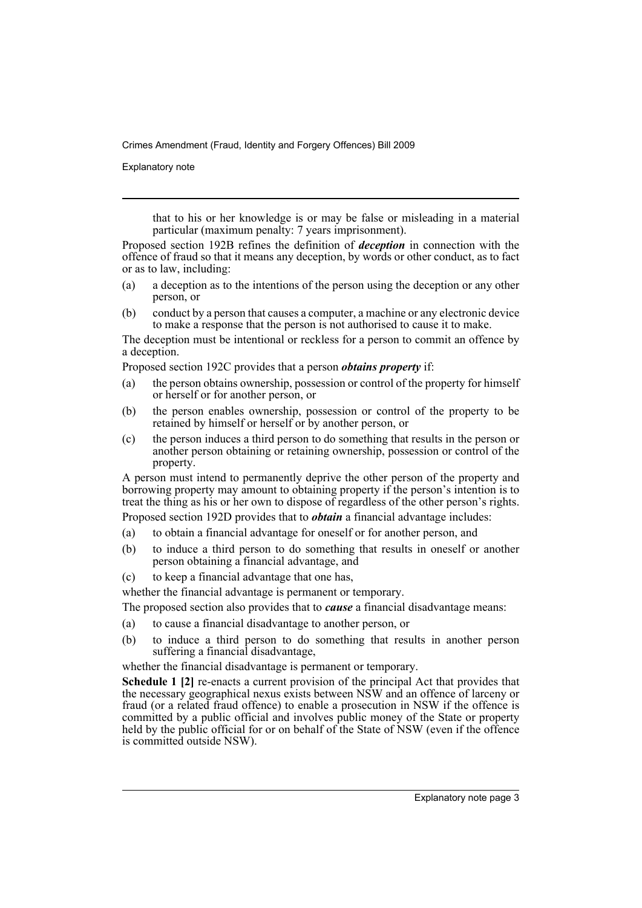Explanatory note

that to his or her knowledge is or may be false or misleading in a material particular (maximum penalty: 7 years imprisonment).

Proposed section 192B refines the definition of *deception* in connection with the offence of fraud so that it means any deception, by words or other conduct, as to fact or as to law, including:

- (a) a deception as to the intentions of the person using the deception or any other person, or
- (b) conduct by a person that causes a computer, a machine or any electronic device to make a response that the person is not authorised to cause it to make.

The deception must be intentional or reckless for a person to commit an offence by a deception.

Proposed section 192C provides that a person *obtains property* if:

- (a) the person obtains ownership, possession or control of the property for himself or herself or for another person, or
- (b) the person enables ownership, possession or control of the property to be retained by himself or herself or by another person, or
- (c) the person induces a third person to do something that results in the person or another person obtaining or retaining ownership, possession or control of the property.

A person must intend to permanently deprive the other person of the property and borrowing property may amount to obtaining property if the person's intention is to treat the thing as his or her own to dispose of regardless of the other person's rights.

Proposed section 192D provides that to *obtain* a financial advantage includes:

- (a) to obtain a financial advantage for oneself or for another person, and
- (b) to induce a third person to do something that results in oneself or another person obtaining a financial advantage, and
- (c) to keep a financial advantage that one has,

whether the financial advantage is permanent or temporary.

The proposed section also provides that to *cause* a financial disadvantage means:

- (a) to cause a financial disadvantage to another person, or
- (b) to induce a third person to do something that results in another person suffering a financial disadvantage,

whether the financial disadvantage is permanent or temporary.

**Schedule 1 [2]** re-enacts a current provision of the principal Act that provides that the necessary geographical nexus exists between NSW and an offence of larceny or fraud (or a related fraud offence) to enable a prosecution in NSW if the offence is committed by a public official and involves public money of the State or property held by the public official for or on behalf of the State of NSW (even if the offence is committed outside NSW).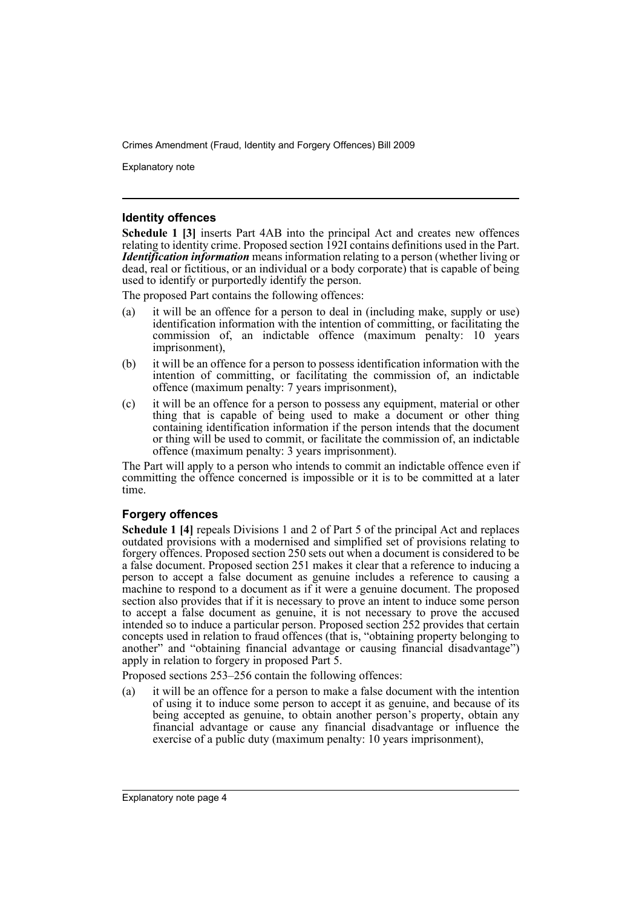Explanatory note

#### **Identity offences**

**Schedule 1 [3]** inserts Part 4AB into the principal Act and creates new offences relating to identity crime. Proposed section 192I contains definitions used in the Part. *Identification information* means information relating to a person (whether living or dead, real or fictitious, or an individual or a body corporate) that is capable of being used to identify or purportedly identify the person.

The proposed Part contains the following offences:

- (a) it will be an offence for a person to deal in (including make, supply or use) identification information with the intention of committing, or facilitating the commission of, an indictable offence (maximum penalty: 10 years imprisonment),
- (b) it will be an offence for a person to possess identification information with the intention of committing, or facilitating the commission of, an indictable offence (maximum penalty: 7 years imprisonment),
- (c) it will be an offence for a person to possess any equipment, material or other thing that is capable of being used to make a document or other thing containing identification information if the person intends that the document or thing will be used to commit, or facilitate the commission of, an indictable offence (maximum penalty: 3 years imprisonment).

The Part will apply to a person who intends to commit an indictable offence even if committing the offence concerned is impossible or it is to be committed at a later time.

#### **Forgery offences**

**Schedule 1 [4]** repeals Divisions 1 and 2 of Part 5 of the principal Act and replaces outdated provisions with a modernised and simplified set of provisions relating to forgery offences. Proposed section 250 sets out when a document is considered to be a false document. Proposed section 251 makes it clear that a reference to inducing a person to accept a false document as genuine includes a reference to causing a machine to respond to a document as if it were a genuine document. The proposed section also provides that if it is necessary to prove an intent to induce some person to accept a false document as genuine, it is not necessary to prove the accused intended so to induce a particular person. Proposed section 252 provides that certain concepts used in relation to fraud offences (that is, "obtaining property belonging to another" and "obtaining financial advantage or causing financial disadvantage") apply in relation to forgery in proposed Part 5.

Proposed sections 253–256 contain the following offences:

(a) it will be an offence for a person to make a false document with the intention of using it to induce some person to accept it as genuine, and because of its being accepted as genuine, to obtain another person's property, obtain any financial advantage or cause any financial disadvantage or influence the exercise of a public duty (maximum penalty: 10 years imprisonment),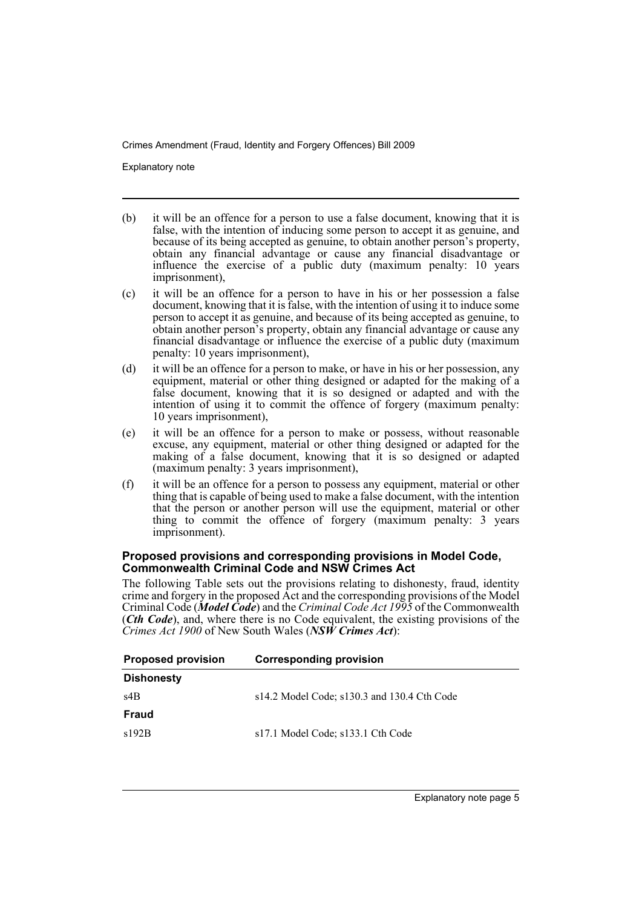Explanatory note

- (b) it will be an offence for a person to use a false document, knowing that it is false, with the intention of inducing some person to accept it as genuine, and because of its being accepted as genuine, to obtain another person's property, obtain any financial advantage or cause any financial disadvantage or influence the exercise of a public duty (maximum penalty: 10 years imprisonment),
- (c) it will be an offence for a person to have in his or her possession a false document, knowing that it is false, with the intention of using it to induce some person to accept it as genuine, and because of its being accepted as genuine, to obtain another person's property, obtain any financial advantage or cause any financial disadvantage or influence the exercise of a public duty (maximum penalty: 10 years imprisonment),
- (d) it will be an offence for a person to make, or have in his or her possession, any equipment, material or other thing designed or adapted for the making of a false document, knowing that it is so designed or adapted and with the intention of using it to commit the offence of forgery (maximum penalty: 10 years imprisonment),
- (e) it will be an offence for a person to make or possess, without reasonable excuse, any equipment, material or other thing designed or adapted for the making of a false document, knowing that it is so designed or adapted (maximum penalty: 3 years imprisonment),
- (f) it will be an offence for a person to possess any equipment, material or other thing that is capable of being used to make a false document, with the intention that the person or another person will use the equipment, material or other thing to commit the offence of forgery (maximum penalty: 3 years imprisonment).

#### **Proposed provisions and corresponding provisions in Model Code, Commonwealth Criminal Code and NSW Crimes Act**

The following Table sets out the provisions relating to dishonesty, fraud, identity crime and forgery in the proposed Act and the corresponding provisions of the Model Criminal Code (*Model Code*) and the *Criminal Code Act 1995* of the Commonwealth (*Cth Code*), and, where there is no Code equivalent, the existing provisions of the *Crimes Act 1900* of New South Wales (*NSW Crimes Act*):

| <b>Proposed provision</b> | <b>Corresponding provision</b>                    |
|---------------------------|---------------------------------------------------|
| <b>Dishonesty</b>         |                                                   |
| s4B                       | $s14.2$ Model Code; $s130.3$ and $130.4$ Cth Code |
| Fraud                     |                                                   |
| s192B                     | s17.1 Model Code; s133.1 Cth Code                 |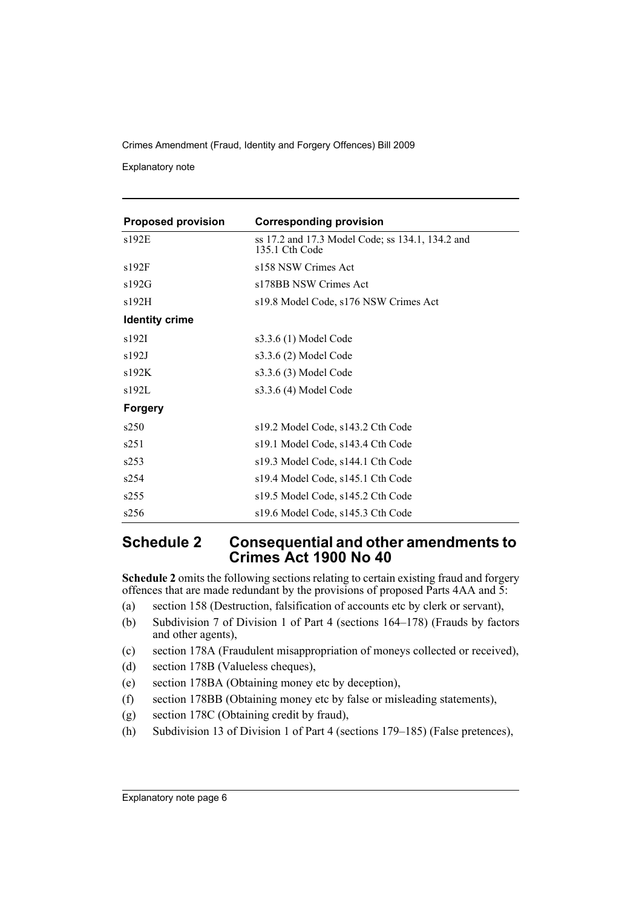Explanatory note

| <b>Proposed provision</b> | <b>Corresponding provision</b>                                     |
|---------------------------|--------------------------------------------------------------------|
| s192E                     | ss 17.2 and 17.3 Model Code; ss 134.1, 134.2 and<br>135.1 Cth Code |
| s192F                     | s158 NSW Crimes Act                                                |
| s192G                     | s178BB NSW Crimes Act                                              |
| s192H                     | s19.8 Model Code, s176 NSW Crimes Act                              |
| <b>Identity crime</b>     |                                                                    |
| s192I                     | s3.3.6 (1) Model Code                                              |
| s192J                     | s3.3.6 (2) Model Code                                              |
| s192K                     | s3.3.6 (3) Model Code                                              |
| s192L                     | s3.3.6 (4) Model Code                                              |
| <b>Forgery</b>            |                                                                    |
| s250                      | s19.2 Model Code, s143.2 Cth Code                                  |
| s251                      | s19.1 Model Code, s143.4 Cth Code                                  |
| s253                      | s19.3 Model Code, s144.1 Cth Code                                  |
| s254                      | s19.4 Model Code, s145.1 Cth Code                                  |
| s255                      | s19.5 Model Code, s145.2 Cth Code                                  |
| s256                      | s19.6 Model Code, s145.3 Cth Code                                  |

## **Schedule 2 Consequential and other amendments to Crimes Act 1900 No 40**

**Schedule 2** omits the following sections relating to certain existing fraud and forgery offences that are made redundant by the provisions of proposed Parts 4AA and 5:

- (a) section 158 (Destruction, falsification of accounts etc by clerk or servant),
- (b) Subdivision 7 of Division 1 of Part 4 (sections 164–178) (Frauds by factors and other agents),
- (c) section 178A (Fraudulent misappropriation of moneys collected or received),
- (d) section 178B (Valueless cheques),
- (e) section 178BA (Obtaining money etc by deception),
- (f) section 178BB (Obtaining money etc by false or misleading statements),
- (g) section 178C (Obtaining credit by fraud),
- (h) Subdivision 13 of Division 1 of Part 4 (sections 179–185) (False pretences),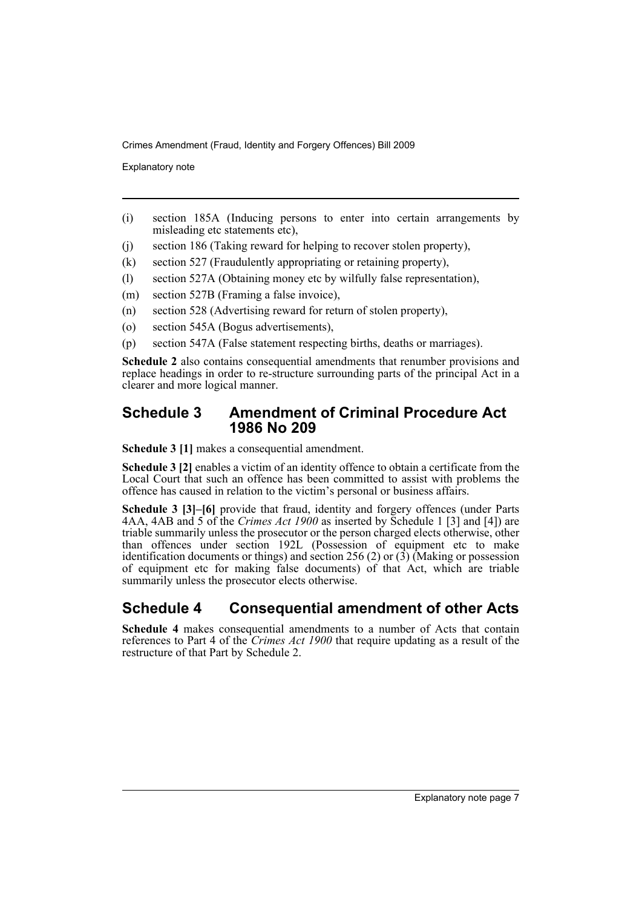Explanatory note

- (i) section 185A (Inducing persons to enter into certain arrangements by misleading etc statements etc),
- (j) section 186 (Taking reward for helping to recover stolen property),
- (k) section 527 (Fraudulently appropriating or retaining property),
- (l) section 527A (Obtaining money etc by wilfully false representation),
- (m) section 527B (Framing a false invoice),
- (n) section 528 (Advertising reward for return of stolen property),
- (o) section 545A (Bogus advertisements),
- (p) section 547A (False statement respecting births, deaths or marriages).

**Schedule 2** also contains consequential amendments that renumber provisions and replace headings in order to re-structure surrounding parts of the principal Act in a clearer and more logical manner.

### **Schedule 3 Amendment of Criminal Procedure Act 1986 No 209**

**Schedule 3 [1]** makes a consequential amendment.

**Schedule 3 [2]** enables a victim of an identity offence to obtain a certificate from the Local Court that such an offence has been committed to assist with problems the offence has caused in relation to the victim's personal or business affairs.

**Schedule 3 [3]–[6]** provide that fraud, identity and forgery offences (under Parts 4AA, 4AB and 5 of the *Crimes Act 1900* as inserted by Schedule 1 [3] and [4]) are triable summarily unless the prosecutor or the person charged elects otherwise, other than offences under section 192L (Possession of equipment etc to make identification documents or things) and section 256 (2) or (3) (Making or possession of equipment etc for making false documents) of that Act, which are triable summarily unless the prosecutor elects otherwise.

## **Schedule 4 Consequential amendment of other Acts**

**Schedule 4** makes consequential amendments to a number of Acts that contain references to Part 4 of the *Crimes Act 1900* that require updating as a result of the restructure of that Part by Schedule 2.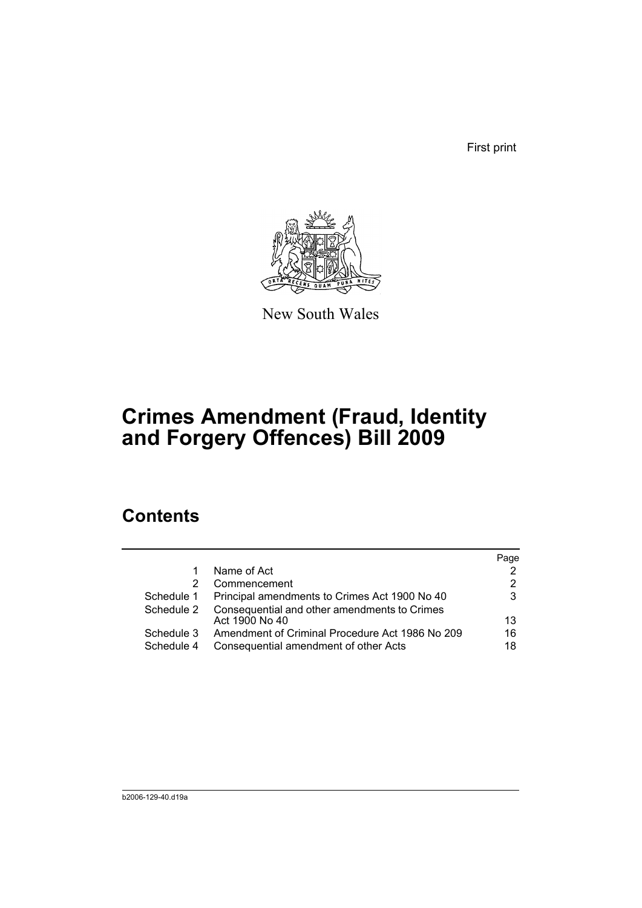First print



New South Wales

# **Crimes Amendment (Fraud, Identity and Forgery Offences) Bill 2009**

## **Contents**

|                          |                                                                                          | Page     |
|--------------------------|------------------------------------------------------------------------------------------|----------|
| 1                        | Name of Act                                                                              |          |
| 2                        | Commencement                                                                             |          |
| Schedule 1               | Principal amendments to Crimes Act 1900 No 40                                            | 3        |
| Schedule 2               | Consequential and other amendments to Crimes<br>Act 1900 No 40                           | 13       |
| Schedule 3<br>Schedule 4 | Amendment of Criminal Procedure Act 1986 No 209<br>Consequential amendment of other Acts | 16<br>18 |
|                          |                                                                                          |          |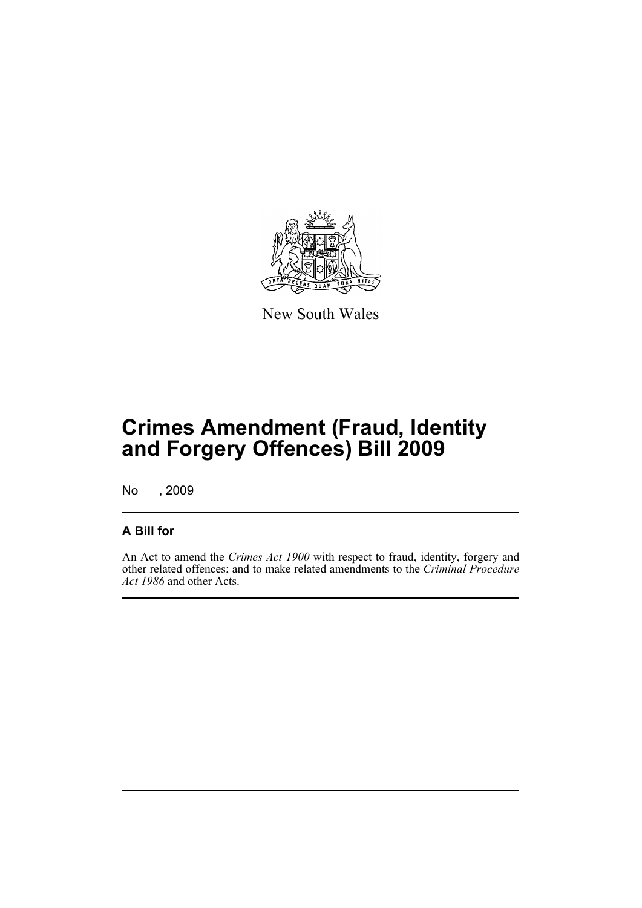

New South Wales

# **Crimes Amendment (Fraud, Identity and Forgery Offences) Bill 2009**

No , 2009

## **A Bill for**

An Act to amend the *Crimes Act 1900* with respect to fraud, identity, forgery and other related offences; and to make related amendments to the *Criminal Procedure Act 1986* and other Acts.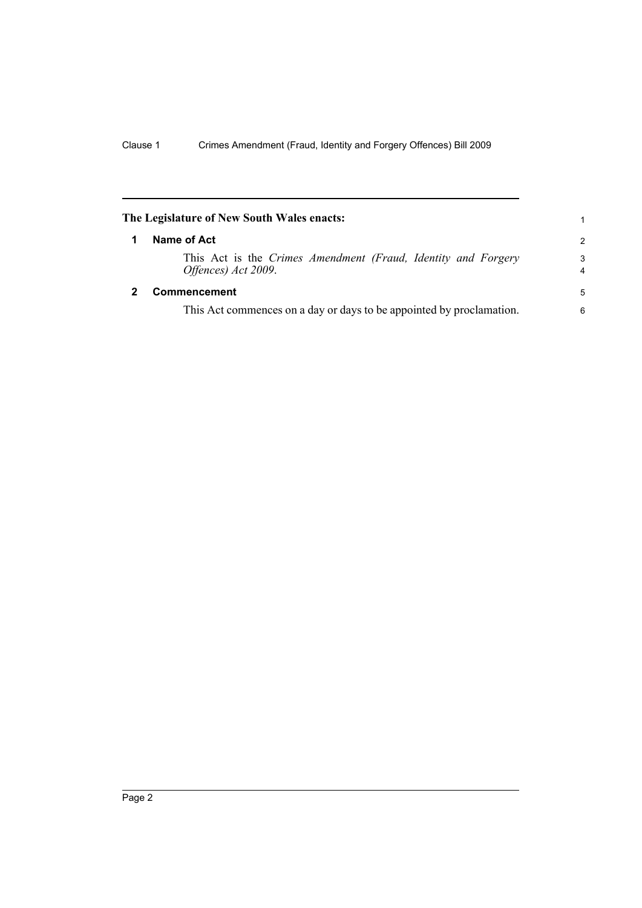<span id="page-11-1"></span><span id="page-11-0"></span>

| The Legislature of New South Wales enacts: |                                                                                      |        |  |
|--------------------------------------------|--------------------------------------------------------------------------------------|--------|--|
| 1                                          | Name of Act                                                                          | 2      |  |
|                                            | This Act is the Crimes Amendment (Fraud, Identity and Forgery<br>Offences) Act 2009. | 3<br>4 |  |
|                                            | Commencement                                                                         | 5      |  |
|                                            | This Act commences on a day or days to be appointed by proclamation.                 | 6      |  |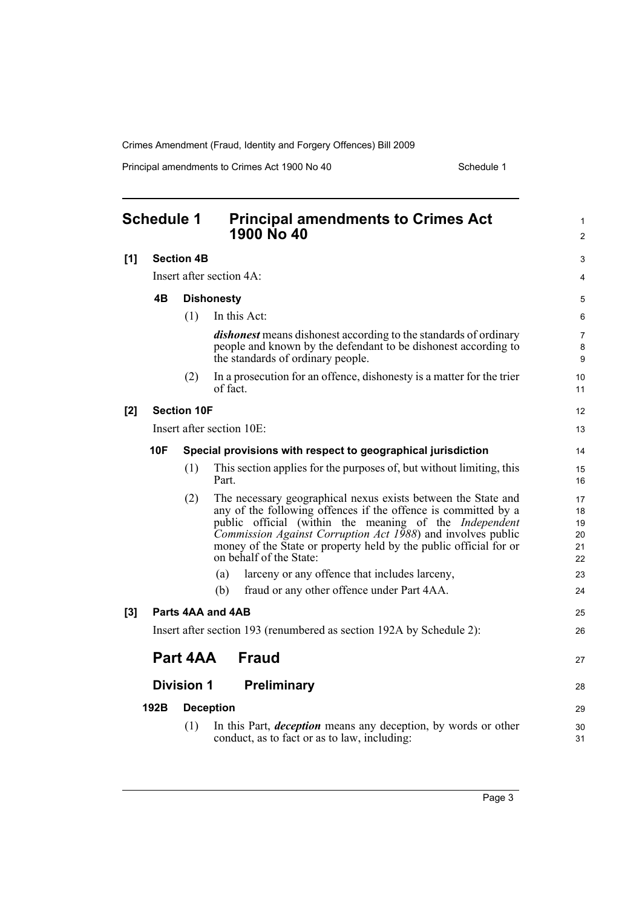Principal amendments to Crimes Act 1900 No 40 Schedule 1

<span id="page-12-0"></span>

| <b>Schedule 1</b> |            |                    | <b>Principal amendments to Crimes Act</b><br>1900 No 40                                                                                                                                                                                                                                                                                                         | 1<br>$\overline{c}$              |
|-------------------|------------|--------------------|-----------------------------------------------------------------------------------------------------------------------------------------------------------------------------------------------------------------------------------------------------------------------------------------------------------------------------------------------------------------|----------------------------------|
| [1]               |            | <b>Section 4B</b>  |                                                                                                                                                                                                                                                                                                                                                                 | 3                                |
|                   |            |                    | Insert after section 4A:                                                                                                                                                                                                                                                                                                                                        | 4                                |
|                   | 4B         |                    | <b>Dishonesty</b>                                                                                                                                                                                                                                                                                                                                               | 5                                |
|                   |            | (1)                | In this Act:                                                                                                                                                                                                                                                                                                                                                    | 6                                |
|                   |            |                    | <i>dishonest</i> means dishonest according to the standards of ordinary<br>people and known by the defendant to be dishonest according to<br>the standards of ordinary people.                                                                                                                                                                                  | 7<br>8<br>9                      |
|                   |            | (2)                | In a prosecution for an offence, dishonesty is a matter for the trier<br>of fact                                                                                                                                                                                                                                                                                | 10<br>11                         |
| [2]               |            | <b>Section 10F</b> |                                                                                                                                                                                                                                                                                                                                                                 | 12                               |
|                   |            |                    | Insert after section 10E:                                                                                                                                                                                                                                                                                                                                       | 13                               |
|                   | <b>10F</b> |                    | Special provisions with respect to geographical jurisdiction                                                                                                                                                                                                                                                                                                    | 14                               |
|                   |            | (1)                | This section applies for the purposes of, but without limiting, this<br>Part.                                                                                                                                                                                                                                                                                   | 15<br>16                         |
|                   |            | (2)                | The necessary geographical nexus exists between the State and<br>any of the following offences if the offence is committed by a<br>public official (within the meaning of the <i>Independent</i><br>Commission Against Corruption Act 1988) and involves public<br>money of the State or property held by the public official for or<br>on behalf of the State: | 17<br>18<br>19<br>20<br>21<br>22 |
|                   |            |                    | larceny or any offence that includes larceny,<br>(a)                                                                                                                                                                                                                                                                                                            | 23                               |
|                   |            |                    | fraud or any other offence under Part 4AA.<br>(b)                                                                                                                                                                                                                                                                                                               | 24                               |
| $[3]$             |            |                    | Parts 4AA and 4AB                                                                                                                                                                                                                                                                                                                                               | 25                               |
|                   |            |                    | Insert after section 193 (renumbered as section 192A by Schedule 2):                                                                                                                                                                                                                                                                                            | 26                               |
|                   |            | Part 4AA           | <b>Fraud</b>                                                                                                                                                                                                                                                                                                                                                    | 27                               |
|                   |            | <b>Division 1</b>  | Preliminary                                                                                                                                                                                                                                                                                                                                                     | 28                               |
|                   | 192B       |                    | <b>Deception</b>                                                                                                                                                                                                                                                                                                                                                | 29                               |
|                   |            | (1)                | In this Part, <i>deception</i> means any deception, by words or other<br>conduct, as to fact or as to law, including:                                                                                                                                                                                                                                           | 30<br>31                         |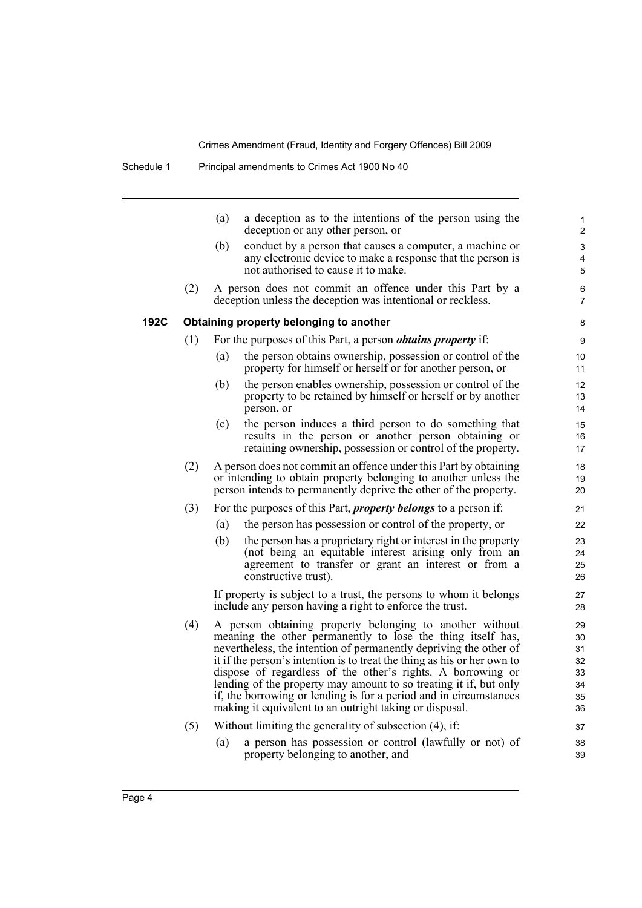|      |     | (a) | a deception as to the intentions of the person using the<br>deception or any other person, or                                                                                                                                                                                                                                                                                                                                                                                                                                               | 1<br>$\overline{\mathbf{c}}$                 |
|------|-----|-----|---------------------------------------------------------------------------------------------------------------------------------------------------------------------------------------------------------------------------------------------------------------------------------------------------------------------------------------------------------------------------------------------------------------------------------------------------------------------------------------------------------------------------------------------|----------------------------------------------|
|      |     | (b) | conduct by a person that causes a computer, a machine or<br>any electronic device to make a response that the person is<br>not authorised to cause it to make.                                                                                                                                                                                                                                                                                                                                                                              | 3<br>4<br>5                                  |
|      | (2) |     | A person does not commit an offence under this Part by a<br>deception unless the deception was intentional or reckless.                                                                                                                                                                                                                                                                                                                                                                                                                     | 6<br>7                                       |
| 192C |     |     | Obtaining property belonging to another                                                                                                                                                                                                                                                                                                                                                                                                                                                                                                     | 8                                            |
|      | (1) |     | For the purposes of this Part, a person <i>obtains property</i> if:                                                                                                                                                                                                                                                                                                                                                                                                                                                                         | 9                                            |
|      |     | (a) | the person obtains ownership, possession or control of the<br>property for himself or herself or for another person, or                                                                                                                                                                                                                                                                                                                                                                                                                     | 10<br>11                                     |
|      |     | (b) | the person enables ownership, possession or control of the<br>property to be retained by himself or herself or by another<br>person, or                                                                                                                                                                                                                                                                                                                                                                                                     | 12<br>13<br>14                               |
|      |     | (c) | the person induces a third person to do something that<br>results in the person or another person obtaining or<br>retaining ownership, possession or control of the property.                                                                                                                                                                                                                                                                                                                                                               | 15<br>16<br>17                               |
|      | (2) |     | A person does not commit an offence under this Part by obtaining<br>or intending to obtain property belonging to another unless the<br>person intends to permanently deprive the other of the property.                                                                                                                                                                                                                                                                                                                                     | 18<br>19<br>20                               |
|      | (3) |     | For the purposes of this Part, <i>property belongs</i> to a person if:                                                                                                                                                                                                                                                                                                                                                                                                                                                                      | 21                                           |
|      |     | (a) | the person has possession or control of the property, or                                                                                                                                                                                                                                                                                                                                                                                                                                                                                    | 22                                           |
|      |     | (b) | the person has a proprietary right or interest in the property<br>(not being an equitable interest arising only from an<br>agreement to transfer or grant an interest or from a<br>constructive trust).                                                                                                                                                                                                                                                                                                                                     | 23<br>24<br>25<br>26                         |
|      |     |     | If property is subject to a trust, the persons to whom it belongs<br>include any person having a right to enforce the trust.                                                                                                                                                                                                                                                                                                                                                                                                                | 27<br>28                                     |
|      | (4) |     | A person obtaining property belonging to another without<br>meaning the other permanently to lose the thing itself has,<br>nevertheless, the intention of permanently depriving the other of<br>it if the person's intention is to treat the thing as his or her own to<br>dispose of regardless of the other's rights. A borrowing or<br>lending of the property may amount to so treating it if, but only<br>if, the borrowing or lending is for a period and in circumstances<br>making it equivalent to an outright taking or disposal. | 29<br>30<br>31<br>32<br>33<br>34<br>35<br>36 |
|      | (5) |     | Without limiting the generality of subsection (4), if:                                                                                                                                                                                                                                                                                                                                                                                                                                                                                      | 37                                           |
|      |     | (a) | a person has possession or control (lawfully or not) of<br>property belonging to another, and                                                                                                                                                                                                                                                                                                                                                                                                                                               | 38<br>39                                     |
|      |     |     |                                                                                                                                                                                                                                                                                                                                                                                                                                                                                                                                             |                                              |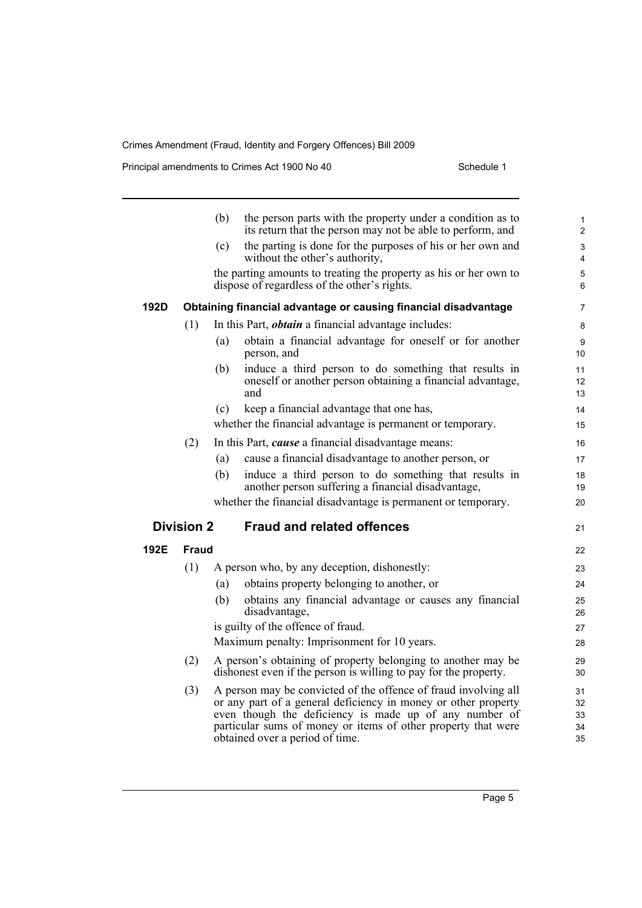Principal amendments to Crimes Act 1900 No 40 Schedule 1

|      |                   | (b) | the person parts with the property under a condition as to<br>its return that the person may not be able to perform, and                                                                                                                                                                        | 1<br>$\overline{c}$        |
|------|-------------------|-----|-------------------------------------------------------------------------------------------------------------------------------------------------------------------------------------------------------------------------------------------------------------------------------------------------|----------------------------|
|      |                   | (c) | the parting is done for the purposes of his or her own and                                                                                                                                                                                                                                      | 3                          |
|      |                   |     | without the other's authority,                                                                                                                                                                                                                                                                  | 4                          |
|      |                   |     | the parting amounts to treating the property as his or her own to<br>dispose of regardless of the other's rights.                                                                                                                                                                               | 5<br>6                     |
| 192D |                   |     | Obtaining financial advantage or causing financial disadvantage                                                                                                                                                                                                                                 | 7                          |
|      | (1)               |     | In this Part, <i>obtain</i> a financial advantage includes:                                                                                                                                                                                                                                     | 8                          |
|      |                   | (a) | obtain a financial advantage for oneself or for another<br>person, and                                                                                                                                                                                                                          | 9<br>10                    |
|      |                   | (b) | induce a third person to do something that results in<br>oneself or another person obtaining a financial advantage,<br>and                                                                                                                                                                      | 11<br>12<br>13             |
|      |                   | (c) | keep a financial advantage that one has,                                                                                                                                                                                                                                                        | 14                         |
|      |                   |     | whether the financial advantage is permanent or temporary.                                                                                                                                                                                                                                      | 15                         |
|      | (2)               |     | In this Part, <i>cause</i> a financial disadvantage means:                                                                                                                                                                                                                                      | 16                         |
|      |                   | (a) | cause a financial disadvantage to another person, or                                                                                                                                                                                                                                            | 17                         |
|      |                   | (b) | induce a third person to do something that results in<br>another person suffering a financial disadvantage,                                                                                                                                                                                     | 18<br>19                   |
|      |                   |     | whether the financial disadvantage is permanent or temporary.                                                                                                                                                                                                                                   | 20                         |
|      | <b>Division 2</b> |     | <b>Fraud and related offences</b>                                                                                                                                                                                                                                                               | 21                         |
| 192E | Fraud             |     |                                                                                                                                                                                                                                                                                                 | 22                         |
|      | (1)               |     | A person who, by any deception, dishonestly:                                                                                                                                                                                                                                                    | 23                         |
|      |                   | (a) | obtains property belonging to another, or                                                                                                                                                                                                                                                       | 24                         |
|      |                   | (b) | obtains any financial advantage or causes any financial<br>disadvantage,                                                                                                                                                                                                                        | 25<br>26                   |
|      |                   |     | is guilty of the offence of fraud.                                                                                                                                                                                                                                                              | 27                         |
|      |                   |     | Maximum penalty: Imprisonment for 10 years.                                                                                                                                                                                                                                                     | 28                         |
|      | (2)               |     | A person's obtaining of property belonging to another may be<br>dishonest even if the person is willing to pay for the property.                                                                                                                                                                | 29<br>30                   |
|      | (3)               |     | A person may be convicted of the offence of fraud involving all<br>or any part of a general deficiency in money or other property<br>even though the deficiency is made up of any number of<br>particular sums of money or items of other property that were<br>obtained over a period of time. | 31<br>32<br>33<br>34<br>35 |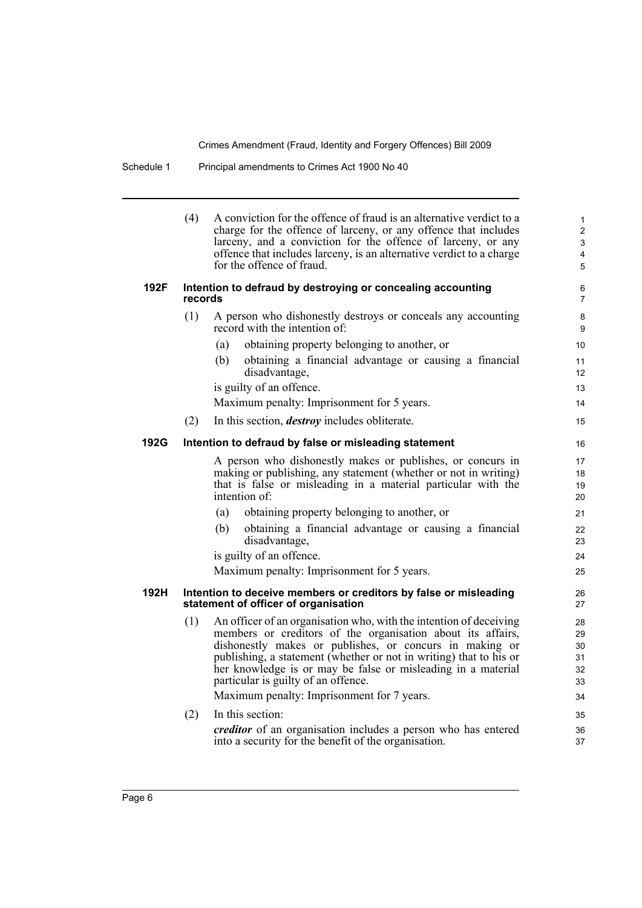| Schedule 1 | Principal amendments to Crimes Act 1900 No 40 |
|------------|-----------------------------------------------|
|------------|-----------------------------------------------|

|      | (4)     | A conviction for the offence of fraud is an alternative verdict to a<br>charge for the offence of larceny, or any offence that includes<br>larceny, and a conviction for the offence of larceny, or any<br>offence that includes larceny, is an alternative verdict to a charge<br>for the offence of fraud.                                                                                                            | $\mathbf{1}$<br>$\overline{2}$<br>3<br>4<br>5 |
|------|---------|-------------------------------------------------------------------------------------------------------------------------------------------------------------------------------------------------------------------------------------------------------------------------------------------------------------------------------------------------------------------------------------------------------------------------|-----------------------------------------------|
| 192F | records | Intention to defraud by destroying or concealing accounting                                                                                                                                                                                                                                                                                                                                                             | 6<br>$\overline{7}$                           |
|      | (1)     | A person who dishonestly destroys or conceals any accounting<br>record with the intention of:                                                                                                                                                                                                                                                                                                                           | $\bf 8$<br>9                                  |
|      |         | obtaining property belonging to another, or<br>(a)                                                                                                                                                                                                                                                                                                                                                                      | 10                                            |
|      |         | (b)<br>obtaining a financial advantage or causing a financial<br>disadvantage,                                                                                                                                                                                                                                                                                                                                          | 11<br>12                                      |
|      |         | is guilty of an offence.                                                                                                                                                                                                                                                                                                                                                                                                | 13                                            |
|      |         | Maximum penalty: Imprisonment for 5 years.                                                                                                                                                                                                                                                                                                                                                                              | 14                                            |
|      | (2)     | In this section, <i>destroy</i> includes obliterate.                                                                                                                                                                                                                                                                                                                                                                    | 15                                            |
| 192G |         | Intention to defraud by false or misleading statement                                                                                                                                                                                                                                                                                                                                                                   | 16                                            |
|      |         | A person who dishonestly makes or publishes, or concurs in                                                                                                                                                                                                                                                                                                                                                              | 17                                            |
|      |         | making or publishing, any statement (whether or not in writing)                                                                                                                                                                                                                                                                                                                                                         | 18<br>19                                      |
|      |         | that is false or misleading in a material particular with the<br>intention of:                                                                                                                                                                                                                                                                                                                                          | 20                                            |
|      |         | (a)<br>obtaining property belonging to another, or                                                                                                                                                                                                                                                                                                                                                                      | 21                                            |
|      |         | obtaining a financial advantage or causing a financial<br>(b)<br>disadvantage,                                                                                                                                                                                                                                                                                                                                          | 22<br>23                                      |
|      |         | is guilty of an offence.                                                                                                                                                                                                                                                                                                                                                                                                | 24                                            |
|      |         | Maximum penalty: Imprisonment for 5 years.                                                                                                                                                                                                                                                                                                                                                                              | 25                                            |
| 192H |         | Intention to deceive members or creditors by false or misleading<br>statement of officer of organisation                                                                                                                                                                                                                                                                                                                | 26<br>27                                      |
|      | (1)     | An officer of an organisation who, with the intention of deceiving<br>members or creditors of the organisation about its affairs,<br>dishonestly makes or publishes, or concurs in making or<br>publishing, a statement (whether or not in writing) that to his or<br>her knowledge is or may be false or misleading in a material<br>particular is guilty of an offence.<br>Maximum penalty: Imprisonment for 7 years. | 28<br>29<br>30<br>31<br>32<br>33<br>34        |
|      | (2)     | In this section:                                                                                                                                                                                                                                                                                                                                                                                                        | 35                                            |
|      |         | creditor of an organisation includes a person who has entered<br>into a security for the benefit of the organisation.                                                                                                                                                                                                                                                                                                   | 36<br>37                                      |
|      |         |                                                                                                                                                                                                                                                                                                                                                                                                                         |                                               |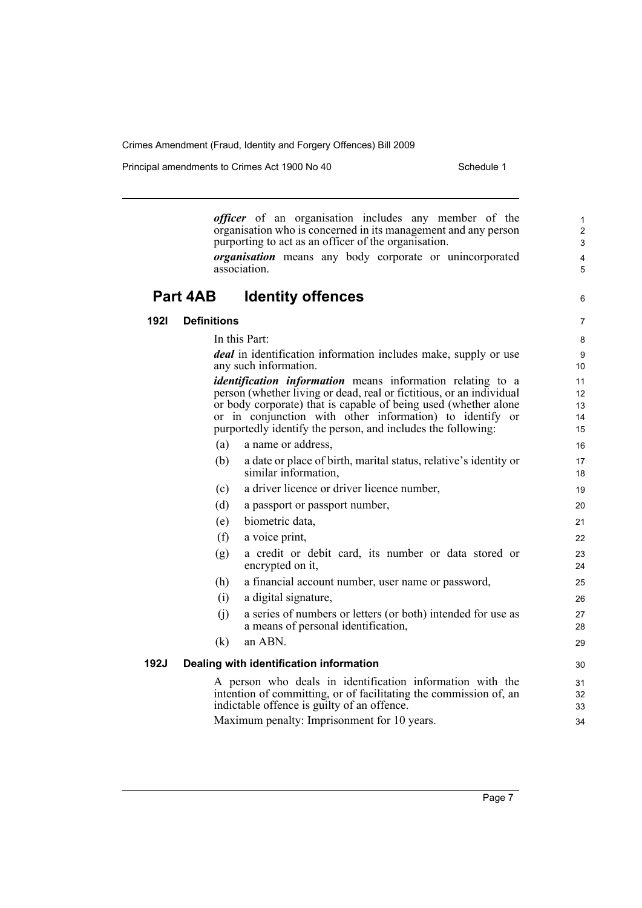Principal amendments to Crimes Act 1900 No 40 Schedule 1

*officer* of an organisation includes any member of the organisation who is concerned in its management and any person purporting to act as an officer of the organisation. *organisation* means any body corporate or unincorporated association. **Part 4AB Identity offences 192I Definitions** In this Part: *deal* in identification information includes make, supply or use any such information. *identification information* means information relating to a person (whether living or dead, real or fictitious, or an individual or body corporate) that is capable of being used (whether alone or in conjunction with other information) to identify or purportedly identify the person, and includes the following: (a) a name or address, (b) a date or place of birth, marital status, relative's identity or similar information, (c) a driver licence or driver licence number, (d) a passport or passport number, (e) biometric data, (f) a voice print, (g) a credit or debit card, its number or data stored or encrypted on it, (h) a financial account number, user name or password, (i) a digital signature, (j) a series of numbers or letters (or both) intended for use as a means of personal identification, (k) an ABN. **192J Dealing with identification information** A person who deals in identification information with the intention of committing, or of facilitating the commission of, an indictable offence is guilty of an offence. Maximum penalty: Imprisonment for 10 years. 1 2 3 4 5 6 7 8 9 10 11 12 13 14 15 16 17 18 19 20 21 22 23 24 25 26 27 28 29 30 31 32 33 34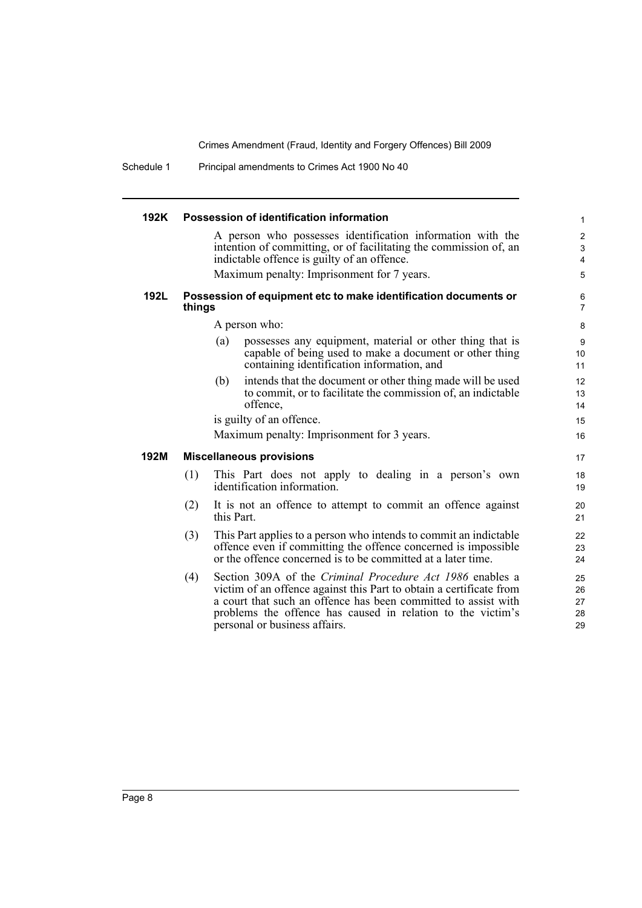Schedule 1 Principal amendments to Crimes Act 1900 No 40

| 192K |        | Possession of identification information                                                                                                                                                                                                                                                           | $\mathbf{1}$                                                           |
|------|--------|----------------------------------------------------------------------------------------------------------------------------------------------------------------------------------------------------------------------------------------------------------------------------------------------------|------------------------------------------------------------------------|
|      |        | A person who possesses identification information with the<br>intention of committing, or of facilitating the commission of, an<br>indictable offence is guilty of an offence.                                                                                                                     | $\overline{c}$<br>$\ensuremath{\mathsf{3}}$<br>$\overline{\mathbf{4}}$ |
|      |        | Maximum penalty: Imprisonment for 7 years.                                                                                                                                                                                                                                                         | 5                                                                      |
| 192L | things | Possession of equipment etc to make identification documents or                                                                                                                                                                                                                                    | 6<br>$\overline{7}$                                                    |
|      |        | A person who:                                                                                                                                                                                                                                                                                      | 8                                                                      |
|      |        | possesses any equipment, material or other thing that is<br>(a)<br>capable of being used to make a document or other thing<br>containing identification information, and                                                                                                                           | 9<br>10<br>11                                                          |
|      |        | intends that the document or other thing made will be used<br>(b)<br>to commit, or to facilitate the commission of, an indictable<br>offence,                                                                                                                                                      | 12<br>13<br>14                                                         |
|      |        | is guilty of an offence.                                                                                                                                                                                                                                                                           | 15                                                                     |
|      |        | Maximum penalty: Imprisonment for 3 years.                                                                                                                                                                                                                                                         | 16                                                                     |
| 192M |        | <b>Miscellaneous provisions</b>                                                                                                                                                                                                                                                                    | 17                                                                     |
|      | (1)    | This Part does not apply to dealing in a person's own<br>identification information.                                                                                                                                                                                                               | 18<br>19                                                               |
|      | (2)    | It is not an offence to attempt to commit an offence against<br>this Part.                                                                                                                                                                                                                         | 20<br>21                                                               |
|      | (3)    | This Part applies to a person who intends to commit an indictable<br>offence even if committing the offence concerned is impossible<br>or the offence concerned is to be committed at a later time.                                                                                                | 22<br>23<br>24                                                         |
|      | (4)    | Section 309A of the Criminal Procedure Act 1986 enables a<br>victim of an offence against this Part to obtain a certificate from<br>a court that such an offence has been committed to assist with<br>problems the offence has caused in relation to the victim's<br>personal or business affairs. | 25<br>26<br>27<br>28<br>29                                             |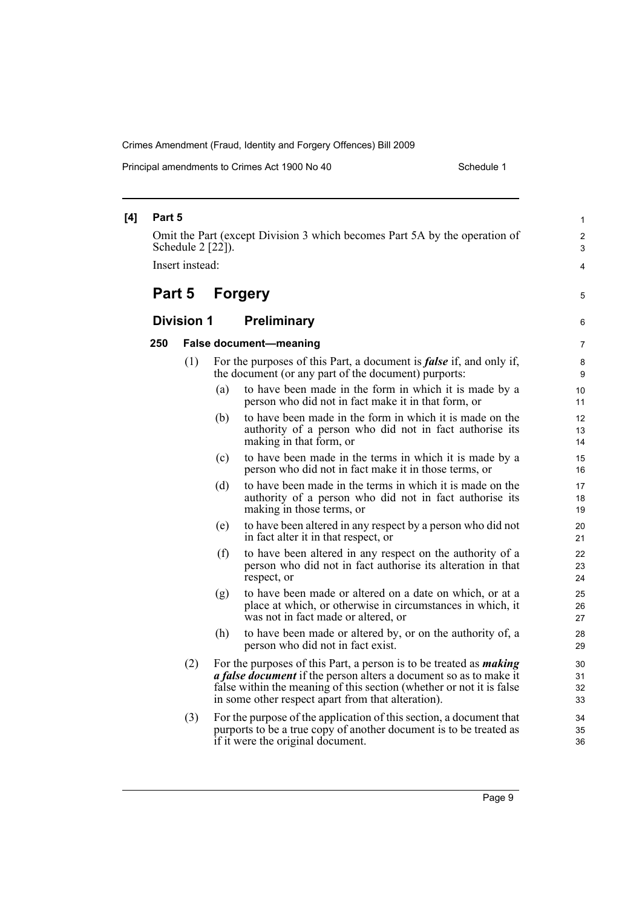Principal amendments to Crimes Act 1900 No 40 Schedule 1

| [4] | Part 5<br>Omit the Part (except Division 3 which becomes Part 5A by the operation of<br>Schedule 2 [22]).<br>Insert instead: |                   |     |                                                                                                                                                                                                                                                                                     | 1<br>2<br>3<br>$\overline{4}$ |
|-----|------------------------------------------------------------------------------------------------------------------------------|-------------------|-----|-------------------------------------------------------------------------------------------------------------------------------------------------------------------------------------------------------------------------------------------------------------------------------------|-------------------------------|
|     | Part 5                                                                                                                       |                   |     | <b>Forgery</b>                                                                                                                                                                                                                                                                      | 5                             |
|     |                                                                                                                              | <b>Division 1</b> |     | <b>Preliminary</b>                                                                                                                                                                                                                                                                  | 6                             |
|     | 250                                                                                                                          |                   |     | <b>False document-meaning</b>                                                                                                                                                                                                                                                       | 7                             |
|     |                                                                                                                              | (1)               |     | For the purposes of this Part, a document is <i>false</i> if, and only if,<br>the document (or any part of the document) purports:                                                                                                                                                  | 8<br>9                        |
|     |                                                                                                                              |                   | (a) | to have been made in the form in which it is made by a<br>person who did not in fact make it in that form, or                                                                                                                                                                       | 10<br>11                      |
|     |                                                                                                                              |                   | (b) | to have been made in the form in which it is made on the<br>authority of a person who did not in fact authorise its<br>making in that form, or                                                                                                                                      | 12<br>13<br>14                |
|     |                                                                                                                              |                   | (c) | to have been made in the terms in which it is made by a<br>person who did not in fact make it in those terms, or                                                                                                                                                                    | 15<br>16                      |
|     |                                                                                                                              |                   | (d) | to have been made in the terms in which it is made on the<br>authority of a person who did not in fact authorise its<br>making in those terms, or                                                                                                                                   | 17<br>18<br>19                |
|     |                                                                                                                              |                   | (e) | to have been altered in any respect by a person who did not<br>in fact alter it in that respect, or                                                                                                                                                                                 | 20<br>21                      |
|     |                                                                                                                              |                   | (f) | to have been altered in any respect on the authority of a<br>person who did not in fact authorise its alteration in that<br>respect, or                                                                                                                                             | 22<br>23<br>24                |
|     |                                                                                                                              |                   | (g) | to have been made or altered on a date on which, or at a<br>place at which, or otherwise in circumstances in which, it<br>was not in fact made or altered, or                                                                                                                       | 25<br>26<br>27                |
|     |                                                                                                                              |                   | (h) | to have been made or altered by, or on the authority of, a<br>person who did not in fact exist.                                                                                                                                                                                     | 28<br>29                      |
|     |                                                                                                                              | (2)               |     | For the purposes of this Part, a person is to be treated as <i>making</i><br><i>a false document</i> if the person alters a document so as to make it<br>false within the meaning of this section (whether or not it is false<br>in some other respect apart from that alteration). | 30<br>31<br>32<br>33          |
|     |                                                                                                                              | (3)               |     | For the purpose of the application of this section, a document that<br>purports to be a true copy of another document is to be treated as<br>if it were the original document.                                                                                                      | 34<br>35<br>36                |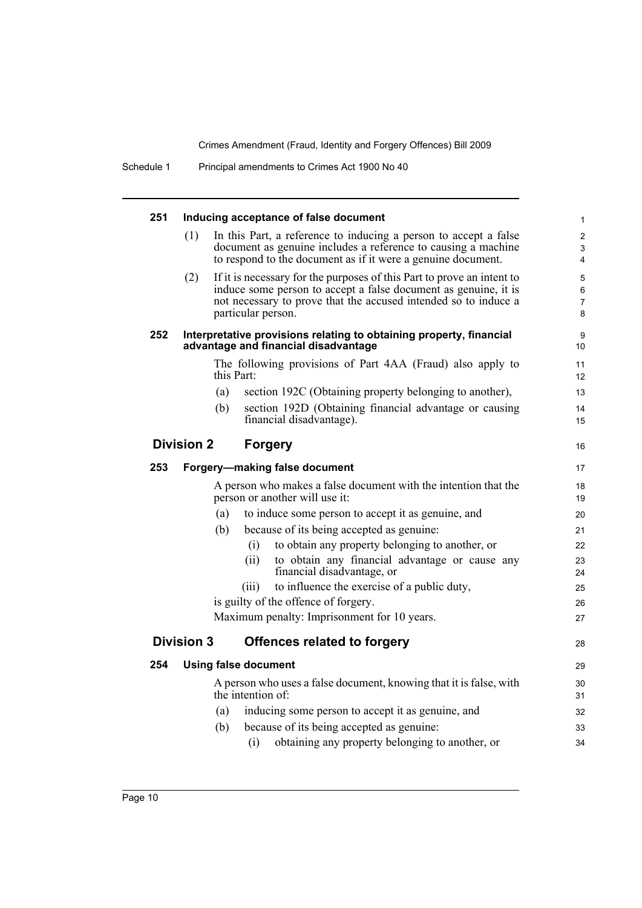| 251 |                   |            | Inducing acceptance of false document                                                                                                                                                                                              | $\mathbf{1}$                  |
|-----|-------------------|------------|------------------------------------------------------------------------------------------------------------------------------------------------------------------------------------------------------------------------------------|-------------------------------|
|     | (1)               |            | In this Part, a reference to inducing a person to accept a false<br>document as genuine includes a reference to causing a machine<br>to respond to the document as if it were a genuine document.                                  | $\overline{2}$<br>3<br>4      |
|     | (2)               |            | If it is necessary for the purposes of this Part to prove an intent to<br>induce some person to accept a false document as genuine, it is<br>not necessary to prove that the accused intended so to induce a<br>particular person. | 5<br>6<br>$\overline{7}$<br>8 |
| 252 |                   |            | Interpretative provisions relating to obtaining property, financial<br>advantage and financial disadvantage                                                                                                                        | 9<br>10                       |
|     |                   | this Part: | The following provisions of Part 4AA (Fraud) also apply to                                                                                                                                                                         | 11<br>12                      |
|     |                   | (a)        | section 192C (Obtaining property belonging to another),                                                                                                                                                                            | 13                            |
|     |                   | (b)        | section 192D (Obtaining financial advantage or causing<br>financial disadvantage).                                                                                                                                                 | 14<br>15                      |
|     | <b>Division 2</b> |            | <b>Forgery</b>                                                                                                                                                                                                                     | 16                            |
| 253 |                   |            | Forgery-making false document                                                                                                                                                                                                      | 17                            |
|     |                   |            | A person who makes a false document with the intention that the<br>person or another will use it:                                                                                                                                  | 18<br>19                      |
|     |                   | (a)        | to induce some person to accept it as genuine, and                                                                                                                                                                                 | 20                            |
|     |                   | (b)        | because of its being accepted as genuine:                                                                                                                                                                                          | 21                            |
|     |                   |            | to obtain any property belonging to another, or<br>(i)                                                                                                                                                                             | 22                            |
|     |                   |            | to obtain any financial advantage or cause any<br>(ii)<br>financial disadvantage, or                                                                                                                                               | 23<br>24                      |
|     |                   |            | to influence the exercise of a public duty,<br>(iii)                                                                                                                                                                               | 25                            |
|     |                   |            | is guilty of the offence of forgery.                                                                                                                                                                                               | 26                            |
|     |                   |            | Maximum penalty: Imprisonment for 10 years.                                                                                                                                                                                        | 27                            |
|     | <b>Division 3</b> |            | <b>Offences related to forgery</b>                                                                                                                                                                                                 | 28                            |
| 254 |                   |            | <b>Using false document</b>                                                                                                                                                                                                        | 29                            |
|     |                   |            | A person who uses a false document, knowing that it is false, with<br>the intention of:                                                                                                                                            | 30<br>31                      |
|     |                   | (a)        | inducing some person to accept it as genuine, and                                                                                                                                                                                  | 32                            |
|     |                   | (b)        | because of its being accepted as genuine:                                                                                                                                                                                          | 33                            |
|     |                   |            | obtaining any property belonging to another, or<br>(i)                                                                                                                                                                             | 34                            |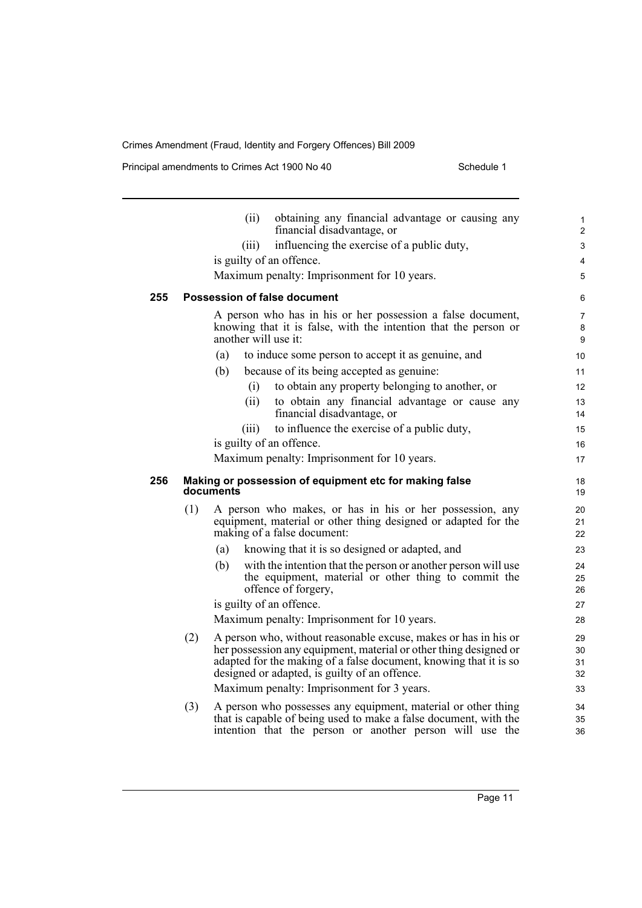Principal amendments to Crimes Act 1900 No 40 Schedule 1

|     |     | (ii)                 | obtaining any financial advantage or causing any<br>financial disadvantage, or                                                                                                                                                                             | 1<br>$\overline{2}$      |
|-----|-----|----------------------|------------------------------------------------------------------------------------------------------------------------------------------------------------------------------------------------------------------------------------------------------------|--------------------------|
|     |     | (iii)                | influencing the exercise of a public duty,                                                                                                                                                                                                                 | 3                        |
|     |     |                      | is guilty of an offence.                                                                                                                                                                                                                                   | 4                        |
|     |     |                      | Maximum penalty: Imprisonment for 10 years.                                                                                                                                                                                                                | 5                        |
| 255 |     |                      | <b>Possession of false document</b>                                                                                                                                                                                                                        | 6                        |
|     |     | another will use it: | A person who has in his or her possession a false document,<br>knowing that it is false, with the intention that the person or                                                                                                                             | $\overline{7}$<br>8<br>9 |
|     |     | (a)                  | to induce some person to accept it as genuine, and                                                                                                                                                                                                         | 10                       |
|     |     | (b)                  | because of its being accepted as genuine:                                                                                                                                                                                                                  | 11                       |
|     |     | (i)                  | to obtain any property belonging to another, or                                                                                                                                                                                                            | 12 <sup>2</sup>          |
|     |     | (ii)                 | to obtain any financial advantage or cause any<br>financial disadvantage, or                                                                                                                                                                               | 13<br>14                 |
|     |     | (iii)                | to influence the exercise of a public duty,                                                                                                                                                                                                                | 15                       |
|     |     |                      | is guilty of an offence.                                                                                                                                                                                                                                   | 16                       |
|     |     |                      | Maximum penalty: Imprisonment for 10 years.                                                                                                                                                                                                                | 17                       |
| 256 |     | documents            | Making or possession of equipment etc for making false                                                                                                                                                                                                     | 18<br>19                 |
|     | (1) |                      | A person who makes, or has in his or her possession, any<br>equipment, material or other thing designed or adapted for the<br>making of a false document:                                                                                                  | 20<br>21<br>22           |
|     |     | (a)                  | knowing that it is so designed or adapted, and                                                                                                                                                                                                             | 23                       |
|     |     | (b)                  | with the intention that the person or another person will use<br>the equipment, material or other thing to commit the<br>offence of forgery,                                                                                                               | 24<br>25<br>26           |
|     |     |                      | is guilty of an offence.                                                                                                                                                                                                                                   | 27                       |
|     |     |                      | Maximum penalty: Imprisonment for 10 years.                                                                                                                                                                                                                | 28                       |
|     | (2) |                      | A person who, without reasonable excuse, makes or has in his or<br>her possession any equipment, material or other thing designed or<br>adapted for the making of a false document, knowing that it is so<br>designed or adapted, is guilty of an offence. | 29<br>30<br>31<br>32     |
|     |     |                      | Maximum penalty: Imprisonment for 3 years.                                                                                                                                                                                                                 | 33                       |
|     | (3) |                      | A person who possesses any equipment, material or other thing<br>that is capable of being used to make a false document, with the<br>intention that the person or another person will use the                                                              | 34<br>35<br>36           |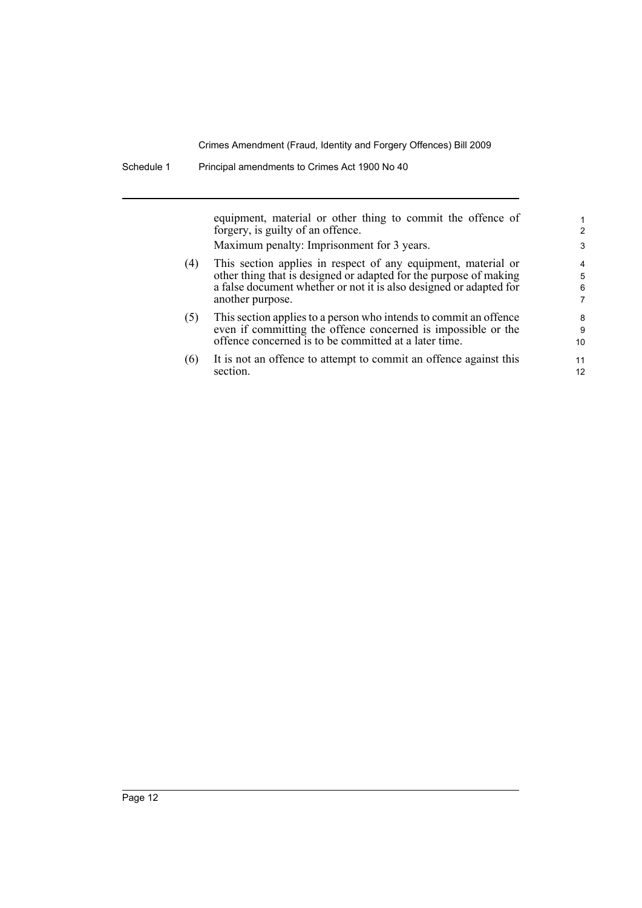equipment, material or other thing to commit the offence of forgery, is guilty of an offence. Maximum penalty: Imprisonment for 3 years.

- (4) This section applies in respect of any equipment, material or other thing that is designed or adapted for the purpose of making a false document whether or not it is also designed or adapted for another purpose.
- (5) This section applies to a person who intends to commit an offence even if committing the offence concerned is impossible or the offence concerned is to be committed at a later time.
- (6) It is not an offence to attempt to commit an offence against this section.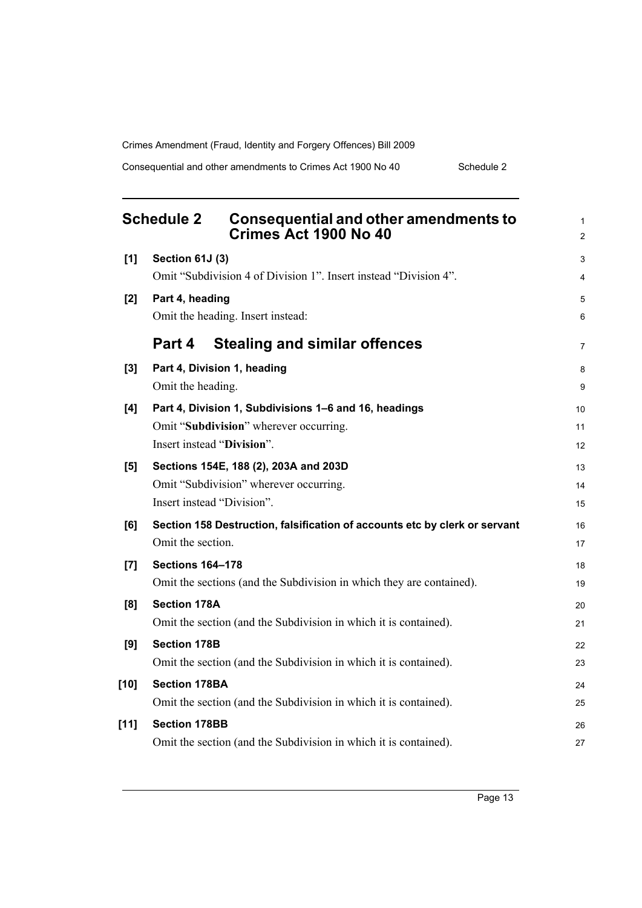Consequential and other amendments to Crimes Act 1900 No 40 Schedule 2

<span id="page-22-0"></span>

| <b>Schedule 2</b> |                            | Consequential and other amendments to<br>Crimes Act 1900 No 40             | 1<br>$\overline{c}$ |
|-------------------|----------------------------|----------------------------------------------------------------------------|---------------------|
| [1]               | Section 61J (3)            |                                                                            | 3                   |
|                   |                            | Omit "Subdivision 4 of Division 1". Insert instead "Division 4".           | 4                   |
| [2]               | Part 4, heading            |                                                                            | 5                   |
|                   |                            | Omit the heading. Insert instead:                                          | 6                   |
|                   | Part 4                     | <b>Stealing and similar offences</b>                                       | 7                   |
| [3]               |                            | Part 4, Division 1, heading                                                | 8                   |
|                   | Omit the heading.          |                                                                            | 9                   |
| [4]               |                            | Part 4, Division 1, Subdivisions 1-6 and 16, headings                      | 10                  |
|                   |                            | Omit "Subdivision" wherever occurring.                                     | 11                  |
|                   | Insert instead "Division". |                                                                            | 12                  |
| [5]               |                            | Sections 154E, 188 (2), 203A and 203D                                      | 13                  |
|                   |                            | Omit "Subdivision" wherever occurring.                                     | 14                  |
|                   | Insert instead "Division". |                                                                            | 15                  |
| [6]               |                            | Section 158 Destruction, falsification of accounts etc by clerk or servant | 16                  |
|                   | Omit the section.          |                                                                            | 17                  |
| [7]               | <b>Sections 164-178</b>    |                                                                            | 18                  |
|                   |                            | Omit the sections (and the Subdivision in which they are contained).       | 19                  |
| [8]               | <b>Section 178A</b>        |                                                                            | 20                  |
|                   |                            | Omit the section (and the Subdivision in which it is contained).           | 21                  |
| [9]               | <b>Section 178B</b>        |                                                                            | 22                  |
|                   |                            | Omit the section (and the Subdivision in which it is contained).           | 23                  |
| $[10]$            | <b>Section 178BA</b>       |                                                                            | 24                  |
|                   |                            | Omit the section (and the Subdivision in which it is contained).           | 25                  |
| $[11]$            | <b>Section 178BB</b>       |                                                                            | 26                  |
|                   |                            | Omit the section (and the Subdivision in which it is contained).           | 27                  |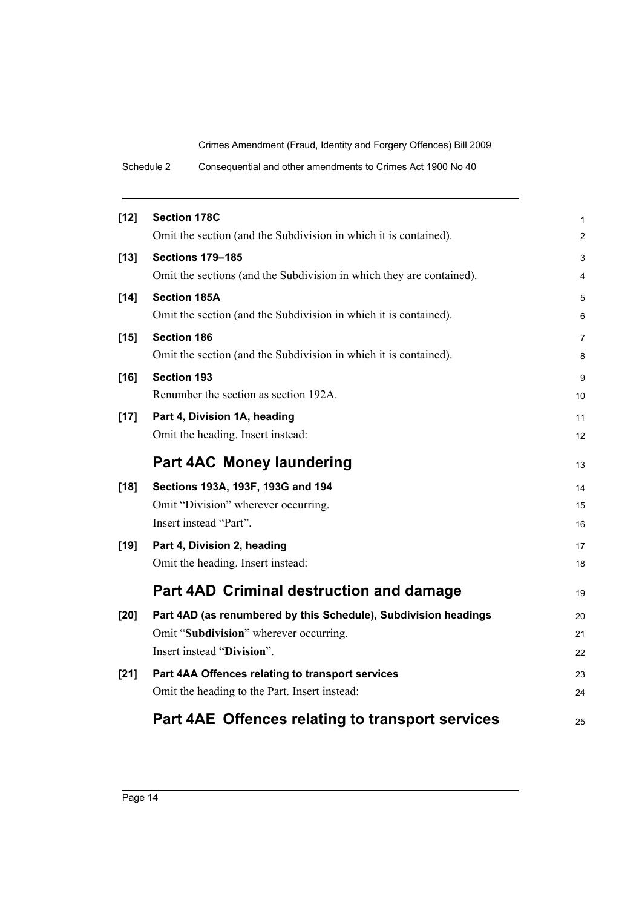Schedule 2 Consequential and other amendments to Crimes Act 1900 No 40

| $[12]$ | <b>Section 178C</b>                                                  |    |
|--------|----------------------------------------------------------------------|----|
|        | Omit the section (and the Subdivision in which it is contained).     | 1  |
|        |                                                                      | 2  |
| $[13]$ | <b>Sections 179-185</b>                                              | 3  |
|        | Omit the sections (and the Subdivision in which they are contained). | 4  |
| $[14]$ | <b>Section 185A</b>                                                  | 5  |
|        | Omit the section (and the Subdivision in which it is contained).     | 6  |
| $[15]$ | <b>Section 186</b>                                                   | 7  |
|        | Omit the section (and the Subdivision in which it is contained).     | 8  |
| $[16]$ | <b>Section 193</b>                                                   | 9  |
|        | Renumber the section as section 192A.                                | 10 |
| $[17]$ | Part 4, Division 1A, heading                                         | 11 |
|        | Omit the heading. Insert instead:                                    | 12 |
|        |                                                                      |    |
|        | <b>Part 4AC Money laundering</b>                                     | 13 |
| $[18]$ | Sections 193A, 193F, 193G and 194                                    | 14 |
|        | Omit "Division" wherever occurring.                                  | 15 |
|        | Insert instead "Part".                                               | 16 |
| $[19]$ | Part 4, Division 2, heading                                          | 17 |
|        | Omit the heading. Insert instead:                                    | 18 |
|        |                                                                      |    |
|        | <b>Part 4AD Criminal destruction and damage</b>                      | 19 |
| $[20]$ | Part 4AD (as renumbered by this Schedule), Subdivision headings      | 20 |
|        | Omit "Subdivision" wherever occurring.                               | 21 |
|        | Insert instead "Division".                                           | 22 |
| $[21]$ | Part 4AA Offences relating to transport services                     | 23 |
|        | Omit the heading to the Part. Insert instead:                        | 24 |
|        |                                                                      |    |
|        | Part 4AE Offences relating to transport services                     | 25 |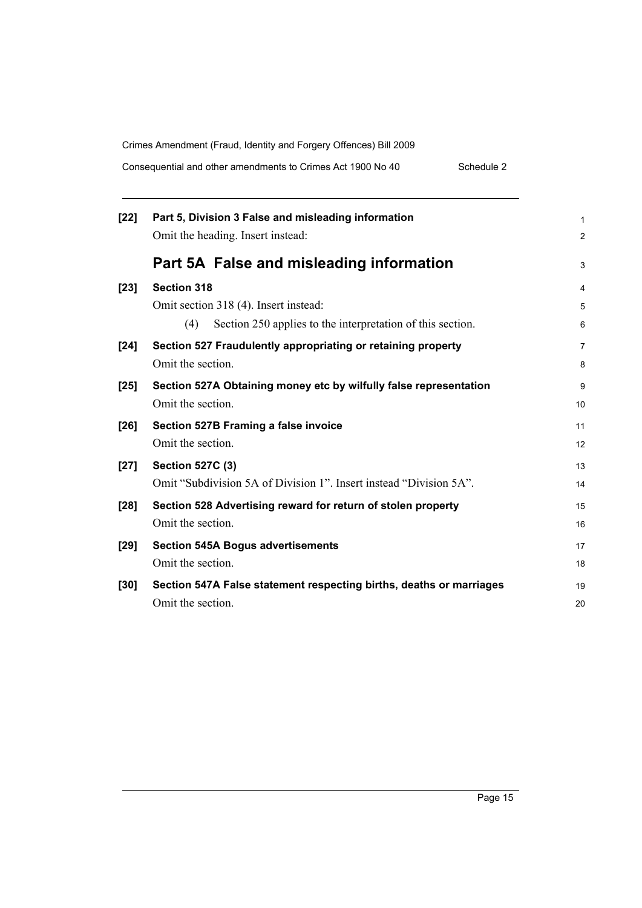Consequential and other amendments to Crimes Act 1900 No 40 Schedule 2

| $[22]$ | Part 5, Division 3 False and misleading information<br>Omit the heading. Insert instead: | 1<br>2 |
|--------|------------------------------------------------------------------------------------------|--------|
|        | Part 5A False and misleading information                                                 | 3      |
| $[23]$ | <b>Section 318</b>                                                                       | 4      |
|        | Omit section 318 (4). Insert instead:                                                    | 5      |
|        | Section 250 applies to the interpretation of this section.<br>(4)                        | 6      |
| $[24]$ | Section 527 Fraudulently appropriating or retaining property                             | 7      |
|        | Omit the section.                                                                        | 8      |
| $[25]$ | Section 527A Obtaining money etc by wilfully false representation                        | 9      |
|        | Omit the section.                                                                        | 10     |
| $[26]$ | Section 527B Framing a false invoice                                                     | 11     |
|        | Omit the section.                                                                        | 12     |
| $[27]$ | <b>Section 527C (3)</b>                                                                  | 13     |
|        | Omit "Subdivision 5A of Division 1". Insert instead "Division 5A".                       | 14     |
| $[28]$ | Section 528 Advertising reward for return of stolen property                             | 15     |
|        | Omit the section.                                                                        | 16     |
| $[29]$ | <b>Section 545A Bogus advertisements</b>                                                 | 17     |
|        | Omit the section.                                                                        | 18     |
| $[30]$ | Section 547A False statement respecting births, deaths or marriages                      | 19     |
|        | Omit the section.                                                                        | 20     |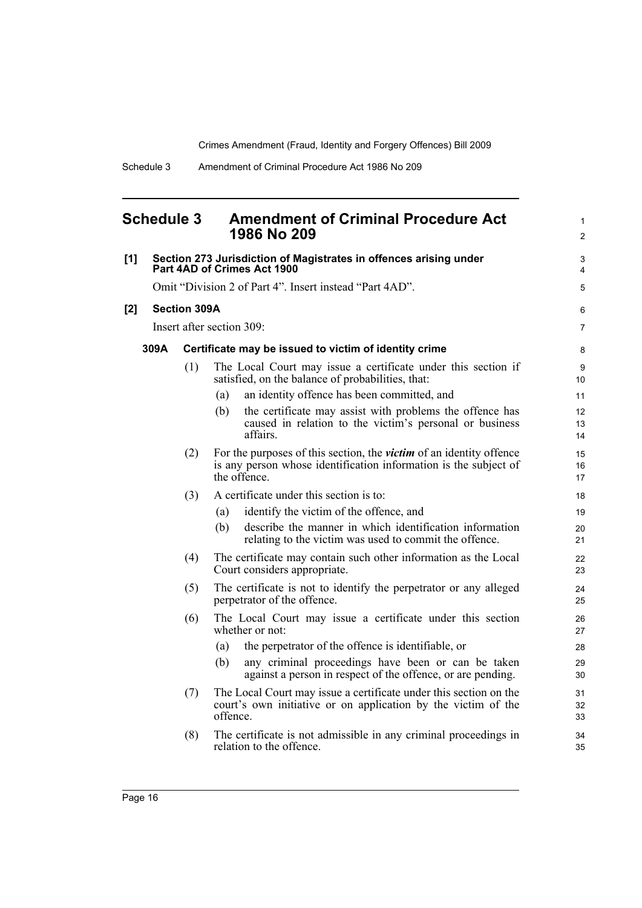<span id="page-25-0"></span>

| <b>Schedule 3</b> |      |                     | <b>Amendment of Criminal Procedure Act</b><br>1986 No 209                                                                                                      | $\mathbf{1}$<br>2   |
|-------------------|------|---------------------|----------------------------------------------------------------------------------------------------------------------------------------------------------------|---------------------|
| [1]               |      |                     | Section 273 Jurisdiction of Magistrates in offences arising under<br>Part 4AD of Crimes Act 1900                                                               | 3<br>$\overline{4}$ |
|                   |      |                     | Omit "Division 2 of Part 4". Insert instead "Part 4AD".                                                                                                        | 5                   |
| [2]               |      | <b>Section 309A</b> |                                                                                                                                                                | 6                   |
|                   |      |                     | Insert after section 309:                                                                                                                                      | $\overline{7}$      |
|                   | 309A |                     | Certificate may be issued to victim of identity crime                                                                                                          | 8                   |
|                   |      | (1)                 | The Local Court may issue a certificate under this section if<br>satisfied, on the balance of probabilities, that:                                             | 9<br>10             |
|                   |      |                     | an identity offence has been committed, and<br>(a)                                                                                                             | 11                  |
|                   |      |                     | the certificate may assist with problems the offence has<br>(b)<br>caused in relation to the victim's personal or business<br>affairs.                         | 12<br>13<br>14      |
|                   |      | (2)                 | For the purposes of this section, the <i>victim</i> of an identity offence<br>is any person whose identification information is the subject of<br>the offence. | 15<br>16<br>17      |
|                   |      | (3)                 | A certificate under this section is to:                                                                                                                        | 18                  |
|                   |      |                     | identify the victim of the offence, and<br>(a)                                                                                                                 | 19                  |
|                   |      |                     | describe the manner in which identification information<br>(b)<br>relating to the victim was used to commit the offence.                                       | 20<br>21            |
|                   |      | (4)                 | The certificate may contain such other information as the Local<br>Court considers appropriate.                                                                | 22<br>23            |
|                   |      | (5)                 | The certificate is not to identify the perpetrator or any alleged<br>perpetrator of the offence.                                                               | 24<br>25            |
|                   |      | (6)                 | The Local Court may issue a certificate under this section<br>whether or not:                                                                                  | 26<br>27            |
|                   |      |                     | the perpetrator of the offence is identifiable, or<br>(a)                                                                                                      | 28                  |
|                   |      |                     | any criminal proceedings have been or can be taken<br>(b)<br>against a person in respect of the offence, or are pending.                                       | 29<br>30            |
|                   |      | (7)                 | The Local Court may issue a certificate under this section on the                                                                                              | 31                  |

- court's own initiative or on application by the victim of the offence.
- (8) The certificate is not admissible in any criminal proceedings in relation to the offence.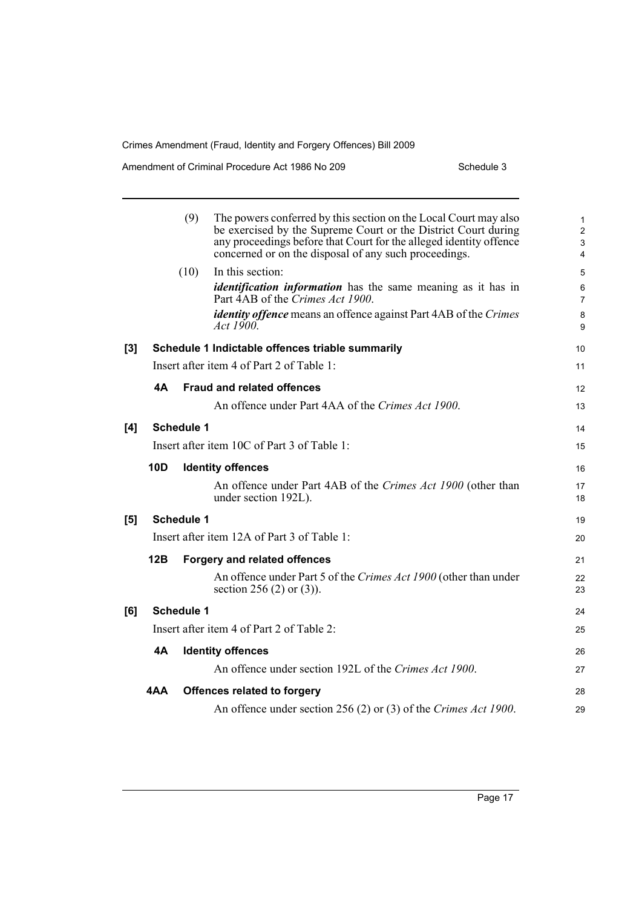Amendment of Criminal Procedure Act 1986 No 209 Schedule 3

|     |                                             | (9)<br>The powers conferred by this section on the Local Court may also<br>be exercised by the Supreme Court or the District Court during<br>any proceedings before that Court for the alleged identity offence<br>concerned or on the disposal of any such proceedings. | 1<br>$\overline{c}$<br>3<br>4 |
|-----|---------------------------------------------|--------------------------------------------------------------------------------------------------------------------------------------------------------------------------------------------------------------------------------------------------------------------------|-------------------------------|
|     |                                             | In this section:<br>(10)                                                                                                                                                                                                                                                 | 5                             |
|     |                                             | <i>identification information</i> has the same meaning as it has in<br>Part 4AB of the Crimes Act 1900.                                                                                                                                                                  | 6<br>7                        |
|     |                                             | <i>identity offence</i> means an offence against Part 4AB of the Crimes<br>Act 1900.                                                                                                                                                                                     | 8<br>9                        |
| [3] |                                             | Schedule 1 Indictable offences triable summarily                                                                                                                                                                                                                         | 10                            |
|     |                                             | Insert after item 4 of Part 2 of Table 1:                                                                                                                                                                                                                                | 11                            |
|     | 4A                                          | <b>Fraud and related offences</b>                                                                                                                                                                                                                                        | 12                            |
|     |                                             | An offence under Part 4AA of the Crimes Act 1900.                                                                                                                                                                                                                        | 13                            |
| [4] | Schedule 1                                  |                                                                                                                                                                                                                                                                          | 14                            |
|     | Insert after item 10C of Part 3 of Table 1: |                                                                                                                                                                                                                                                                          |                               |
|     | <b>10D</b>                                  | <b>Identity offences</b>                                                                                                                                                                                                                                                 | 16                            |
|     |                                             | An offence under Part 4AB of the Crimes Act 1900 (other than<br>under section 192L).                                                                                                                                                                                     | 17<br>18                      |
| [5] | Schedule 1                                  |                                                                                                                                                                                                                                                                          | 19                            |
|     | Insert after item 12A of Part 3 of Table 1: |                                                                                                                                                                                                                                                                          |                               |
|     | 12B                                         | <b>Forgery and related offences</b>                                                                                                                                                                                                                                      | 21                            |
|     |                                             | An offence under Part 5 of the Crimes Act 1900 (other than under<br>section 256 (2) or $(3)$ ).                                                                                                                                                                          | 22<br>23                      |
| [6] | Schedule 1                                  |                                                                                                                                                                                                                                                                          |                               |
|     | Insert after item 4 of Part 2 of Table 2:   |                                                                                                                                                                                                                                                                          |                               |
|     | <b>4A</b>                                   | <b>Identity offences</b>                                                                                                                                                                                                                                                 | 26                            |
|     |                                             | An offence under section 192L of the Crimes Act 1900.                                                                                                                                                                                                                    | 27                            |
|     | 4AA                                         | <b>Offences related to forgery</b>                                                                                                                                                                                                                                       | 28                            |
|     |                                             | An offence under section 256 (2) or (3) of the Crimes Act 1900.                                                                                                                                                                                                          | 29                            |